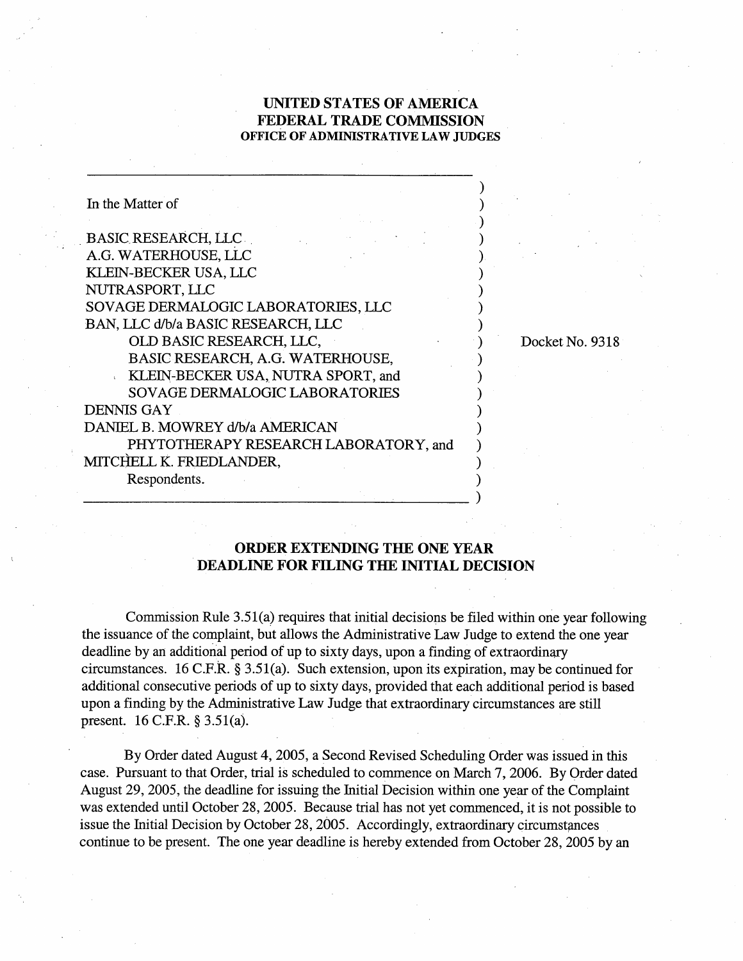## **UNITED STATES OF AMERICA FEDERAL TRADE COMMISSION OFFICE OF ADMINISTRATIVE LAW JUDGES**

| In the Matter of                      |  |
|---------------------------------------|--|
|                                       |  |
| <b>BASIC RESEARCH, LLC</b>            |  |
| A.G. WATERHOUSE, LLC                  |  |
| KLEIN-BECKER USA, LLC                 |  |
| NUTRASPORT, LLC                       |  |
| SOVAGE DERMALOGIC LABORATORIES, LLC   |  |
| BAN, LLC d/b/a BASIC RESEARCH, LLC    |  |
| OLD BASIC RESEARCH, LLC,              |  |
| BASIC RESEARCH, A.G. WATERHOUSE,      |  |
| KLEIN-BECKER USA, NUTRA SPORT, and    |  |
| <b>SOVAGE DERMALOGIC LABORATORIES</b> |  |
| <b>DENNIS GAY</b>                     |  |
| DANIEL B. MOWREY d/b/a AMERICAN       |  |
| PHYTOTHERAPY RESEARCH LABORATORY, and |  |
| MITCHELL K. FRIEDLANDER,              |  |
| Respondents.                          |  |
|                                       |  |

Docket No. 9318

## **ORDER EXTENDING THE ONE YEAR DEADLINE FOR FILING THE INITIAL DECISION**

Commission Rule 3.51(a) requires that initial decisions be filed within one year following the issuance of the complaint, but allows the Administrative Law Judge to extend the one year deadline by an additional period of up to sixty days, upon a finding of extraordinary circumstances. 16 C.F.R. *5* 3.51(a). Such extension, upon its expiration, may be continued for additional consecutive periods of up to sixty days, provided that each additional period is based upon a finding by the Administrative Law Judge that extraordinary circumstances are still present. 16 C.F.R. *5* 3.5 l(a).

By Order dated August 4,2005, a Second Revised Scheduling Order was issued in this case. Pursuant to that Order, trial is scheduled to commence on March 7,2006. By Order dated August 29,2005, the deadline for issuing the Initial Decision within one year of the Complaint was extended until October 28,2005. Because trial has not yet commenced, it is not possible to issue the Initial Decision by October 28, 2005. Accordingly, extraordinary circumstances continue to be present. The one year deadline is hereby extended from October 28, 2005 by an